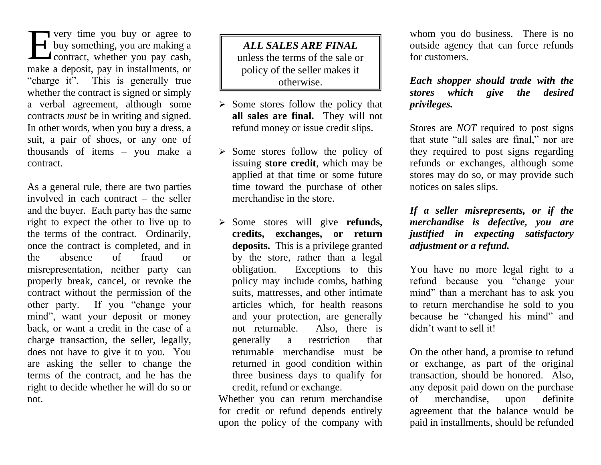very time you buy or agree to buy something, you are making a  $\Box$  contract, whether you pay cash, make a deposit, pay in installments, or "charge it". This is generally true whether the contract is signed or simply a verbal agreement, although some contracts *must* be in writing and signed. In other words, when you buy a dress, a suit, a pair of shoes, or any one of thousands of items – you make a contract. The very time you buy or agree to<br>
buy something, you are making a<br>
contract, whether you pay cash,<br>
and the same the sale of the sale of the sale of the sale of the sale of the sale of the sale of the sale of the sale of

As a general rule, there are two parties involved in each contract – the seller and the buyer. Each party has the same right to expect the other to live up to the terms of the contract. Ordinarily, once the contract is completed, and in the absence of fraud or misrepresentation, neither party can properly break, cancel, or revoke the contract without the permission of the other party. If you "change your mind", want your deposit or money back, or want a credit in the case of a charge transaction, the seller, legally, does not have to give it to you. You are asking the seller to change the terms of the contract, and he has the right to decide whether he will do so or not.

otherwise. unless the terms of the sale or policy of the seller makes it

- $\triangleright$  Some stores follow the policy that **all sales are final.** They will not refund money or issue credit slips.
- $\triangleright$  Some stores follow the policy of issuing **store credit**, which may be applied at that time or some future time toward the purchase of other merchandise in the store.
- ➢ Some stores will give **refunds, credits, exchanges, or return deposits.** This is a privilege granted by the store, rather than a legal obligation. Exceptions to this policy may include combs, bathing suits, mattresses, and other intimate articles which, for health reasons and your protection, are generally not returnable. Also, there is generally a restriction that returnable merchandise must be returned in good condition within three business days to qualify for credit, refund or exchange.

Whether you can return merchandise for credit or refund depends entirely upon the policy of the company with whom you do business. There is no outside agency that can force refunds for customers.

*Each shopper should trade with the stores which give the desired privileges.*

Stores are *NOT* required to post signs that state "all sales are final," nor are they required to post signs regarding refunds or exchanges, although some stores may do so, or may provide such notices on sales slips.

## *If a seller misrepresents, or if the merchandise is defective, you are justified in expecting satisfactory adjustment or a refund.*

You have no more legal right to a refund because you "change your mind" than a merchant has to ask you to return merchandise he sold to you because he "changed his mind" and didn't want to sell it!

On the other hand, a promise to refund or exchange, as part of the original transaction, should be honored. Also, any deposit paid down on the purchase of merchandise, upon definite agreement that the balance would be paid in installments, should be refunded